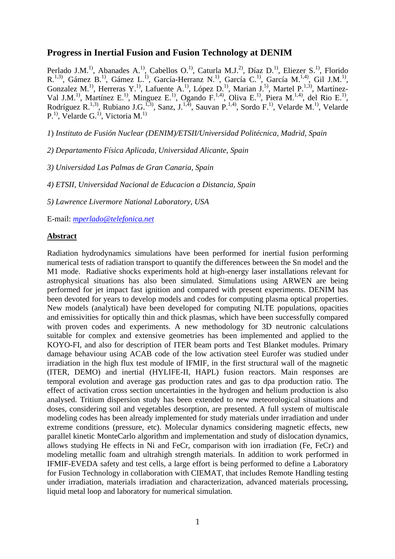# **Progress in Inertial Fusion and Fusion Technology at DENIM**

Perlado J.M.<sup>1)</sup>, Abanades A.<sup>1)</sup>, Cabellos O.<sup>1)</sup>, Caturla M.J.<sup>2)</sup>, Díaz D.<sup>1)</sup>, Eliezer S.<sup>1</sup><sup>)</sup>, Florido R.<sup>1,3)</sup>, Gámez B.<sup>1)</sup>, Gámez L.<sup>1)</sup>, García-Herranz N.<sup>1)</sup>, García C.<sup>1</sup>), García M.<sup>1,4)</sup>, Gil J.M.<sup>1</sup>), Gonzalez M.<sup>1)</sup>, Herreras Y.<sup>1)</sup>, Lafuente A.<sup>1)</sup>, López D.<sup>1)</sup>, Marian J.<sup>5)</sup>, Martel P.<sup>1,3)</sup>, Martínez-Val J.M.<sup>1)</sup>, Martínez E.<sup>1)</sup>, Minguez E.<sup>1)</sup>, Ogando F.<sup>1,4)</sup>, Oliva E.<sup>1</sup>), Piera M.<sup>1,4)</sup>, del Rio E.<sup>1)</sup>, Rodríguez R.<sup>1,3)</sup>, Rubiano J.G.<sup>1,3)</sup>, Sanz, J.<sup>1,4)</sup>, Sauvan P.<sup>1,4)</sup>, Sordo F.<sup>1)</sup>, Velarde M.<sup>1)</sup>, Velarde  $P<sup>1</sup>$ , Velarde G.<sup>1)</sup>, Victoria M.<sup>1)</sup>

*1*) *Instituto de Fusión Nuclear (DENIM)/ETSII/Universidad Politécnica, Madrid, Spain* 

*2) Departamento Física Aplicada, Universidad Alicante, Spain* 

*3) Universidad Las Palmas de Gran Canaria, Spain*

*4) ETSII, Universidad Nacional de Educacion a Distancia, Spain* 

*5) Lawrence Livermore National Laboratory, USA* 

E-mail: *mperlado@telefonica.net*

## **Abstract**

Radiation hydrodynamics simulations have been performed for inertial fusion performing numerical tests of radiation transport to quantify the differences between the Sn model and the M1 mode. Radiative shocks experiments hold at high-energy laser installations relevant for astrophysical situations has also been simulated. Simulations using ARWEN are being performed for jet impact fast ignition and compared with present experiments. DENIM has been devoted for years to develop models and codes for computing plasma optical properties. New models (analytical) have been developed for computing NLTE populations, opacities and emissivities for optically thin and thick plasmas, which have been successfully compared with proven codes and experiments. A new methodology for 3D neutronic calculations suitable for complex and extensive geometries has been implemented and applied to the KOYO-FI, and also for description of ITER beam ports and Test Blanket modules. Primary damage behaviour using ACAB code of the low activation steel Eurofer was studied under irradiation in the high flux test module of IFMIF, in the first structural wall of the magnetic (ITER, DEMO) and inertial (HYLIFE-II, HAPL) fusion reactors. Main responses are temporal evolution and average gas production rates and gas to dpa production ratio. The effect of activation cross section uncertainties in the hydrogen and helium production is also analysed. Tritium dispersion study has been extended to new meteorological situations and doses, considering soil and vegetables desorption, are presented. A full system of multiscale modeling codes has been already implemented for study materials under irradiation and under extreme conditions (pressure, etc). Molecular dynamics considering magnetic effects, new parallel kinetic MonteCarlo algorithm and implementation and study of dislocation dynamics, allows studying He effects in Ni and FeCr, comparison with ion irradiation (Fe, FeCr) and modeling metallic foam and ultrahigh strength materials. In addition to work performed in IFMIF-EVEDA safety and test cells, a large effort is being performed to define a Laboratory for Fusion Technology in collaboration with CIEMAT, that includes Remote Handling testing under irradiation, materials irradiation and characterization, advanced materials processing, liquid metal loop and laboratory for numerical simulation.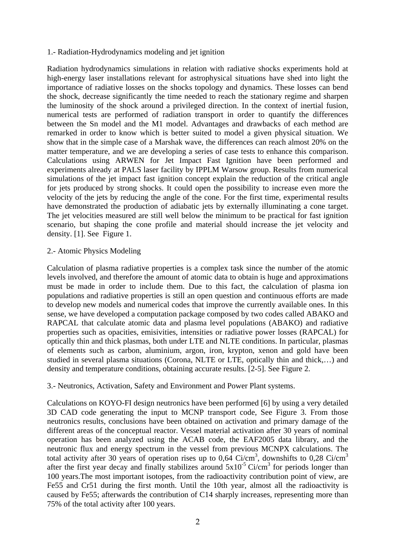### 1.- Radiation-Hydrodynamics modeling and jet ignition

Radiation hydrodynamics simulations in relation with radiative shocks experiments hold at high-energy laser installations relevant for astrophysical situations have shed into light the importance of radiative losses on the shocks topology and dynamics. These losses can bend the shock, decrease significantly the time needed to reach the stationary regime and sharpen the luminosity of the shock around a privileged direction. In the context of inertial fusion, numerical tests are performed of radiation transport in order to quantify the differences between the Sn model and the M1 model. Advantages and drawbacks of each method are remarked in order to know which is better suited to model a given physical situation. We show that in the simple case of a Marshak wave, the differences can reach almost 20% on the matter temperature, and we are developing a series of case tests to enhance this comparison. Calculations using ARWEN for Jet Impact Fast Ignition have been performed and experiments already at PALS laser facility by IPPLM Warsow group. Results from numerical simulations of the jet impact fast ignition concept explain the reduction of the critical angle for jets produced by strong shocks. It could open the possibility to increase even more the velocity of the jets by reducing the angle of the cone. For the first time, experimental results have demonstrated the production of adiabatic jets by externally illuminating a cone target. The jet velocities measured are still well below the minimum to be practical for fast ignition scenario, but shaping the cone profile and material should increase the jet velocity and density. [1]. See Figure 1.

#### 2.- Atomic Physics Modeling

Calculation of plasma radiative properties is a complex task since the number of the atomic levels involved, and therefore the amount of atomic data to obtain is huge and approximations must be made in order to include them. Due to this fact, the calculation of plasma ion populations and radiative properties is still an open question and continuous efforts are made to develop new models and numerical codes that improve the currently available ones. In this sense, we have developed a computation package composed by two codes called ABAKO and RAPCAL that calculate atomic data and plasma level populations (ABAKO) and radiative properties such as opacities, emisivities, intensities or radiative power losses (RAPCAL) for optically thin and thick plasmas, both under LTE and NLTE conditions. In particular, plasmas of elements such as carbon, aluminium, argon, iron, krypton, xenon and gold have been studied in several plasma situations (Corona, NLTE or LTE, optically thin and thick,…) and density and temperature conditions, obtaining accurate results. [2-5]. See Figure 2.

## 3.- Neutronics, Activation, Safety and Environment and Power Plant systems.

Calculations on KOYO-FI design neutronics have been performed [6] by using a very detailed 3D CAD code generating the input to MCNP transport code, See Figure 3. From those neutronics results, conclusions have been obtained on activation and primary damage of the different areas of the conceptual reactor. Vessel material activation after 30 years of nominal operation has been analyzed using the ACAB code, the EAF2005 data library, and the neutronic flux and energy spectrum in the vessel from previous MCNPX calculations. The total activity after 30 years of operation rises up to  $0.64$  Ci/cm<sup>3</sup>, downshifts to  $0.28$  Ci/cm<sup>3</sup> after the first year decay and finally stabilizes around  $5x10^{-5}$  Ci/cm<sup>3</sup> for periods longer than 100 years.The most important isotopes, from the radioactivity contribution point of view, are Fe55 and Cr51 during the first month. Until the 10th year, almost all the radioactivity is caused by Fe55; afterwards the contribution of C14 sharply increases, representing more than 75% of the total activity after 100 years.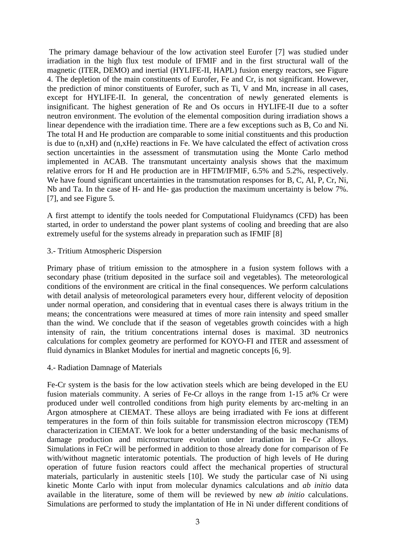The primary damage behaviour of the low activation steel Eurofer [7] was studied under irradiation in the high flux test module of IFMIF and in the first structural wall of the magnetic (ITER, DEMO) and inertial (HYLIFE-II, HAPL) fusion energy reactors, see Figure 4. The depletion of the main constituents of Eurofer, Fe and Cr, is not significant. However, the prediction of minor constituents of Eurofer, such as Ti, V and Mn, increase in all cases, except for HYLIFE-II. In general, the concentration of newly generated elements is insignificant. The highest generation of Re and Os occurs in HYLIFE-II due to a softer neutron environment. The evolution of the elemental composition during irradiation shows a linear dependence with the irradiation time. There are a few exceptions such as B, Co and Ni. The total H and He production are comparable to some initial constituents and this production is due to (n,xH) and (n,xHe) reactions in Fe. We have calculated the effect of activation cross section uncertainties in the assessment of transmutation using the Monte Carlo method implemented in ACAB. The transmutant uncertainty analysis shows that the maximum relative errors for H and He production are in HFTM/IFMIF, 6.5% and 5.2%, respectively. We have found significant uncertainties in the transmutation responses for B, C, Al, P, Cr, Ni, Nb and Ta. In the case of H- and He- gas production the maximum uncertainty is below 7%. [7], and see Figure 5.

A first attempt to identify the tools needed for Computational Fluidynamcs (CFD) has been started, in order to understand the power plant systems of cooling and breeding that are also extremely useful for the systems already in preparation such as IFMIF [8]

3.- Tritium Atmospheric Dispersion

Primary phase of tritium emission to the atmosphere in a fusion system follows with a secondary phase (tritium deposited in the surface soil and vegetables). The meteorological conditions of the environment are critical in the final consequences. We perform calculations with detail analysis of meteorological parameters every hour, different velocity of deposition under normal operation, and considering that in eventual cases there is always tritium in the means; the concentrations were measured at times of more rain intensity and speed smaller than the wind. We conclude that if the season of vegetables growth coincides with a high intensity of rain, the tritium concentrations internal doses is maximal. 3D neutronics calculations for complex geometry are performed for KOYO-FI and ITER and assessment of fluid dynamics in Blanket Modules for inertial and magnetic concepts [6, 9].

4.- Radiation Damnage of Materials

Fe-Cr system is the basis for the low activation steels which are being developed in the EU fusion materials community. A series of Fe-Cr alloys in the range from 1-15 at% Cr were produced under well controlled conditions from high purity elements by arc-melting in an Argon atmosphere at CIEMAT. These alloys are being irradiated with Fe ions at different temperatures in the form of thin foils suitable for transmission electron microscopy (TEM) characterization in CIEMAT. We look for a better understanding of the basic mechanisms of damage production and microstructure evolution under irradiation in Fe-Cr alloys. Simulations in FeCr will be performed in addition to those already done for comparison of Fe with/without magnetic interatomic potentials. The production of high levels of He during operation of future fusion reactors could affect the mechanical properties of structural materials, particularly in austenitic steels [10]. We study the particular case of Ni using kinetic Monte Carlo with input from molecular dynamics calculations and *ab initio* data available in the literature, some of them will be reviewed by new *ab initio* calculations. Simulations are performed to study the implantation of He in Ni under different conditions of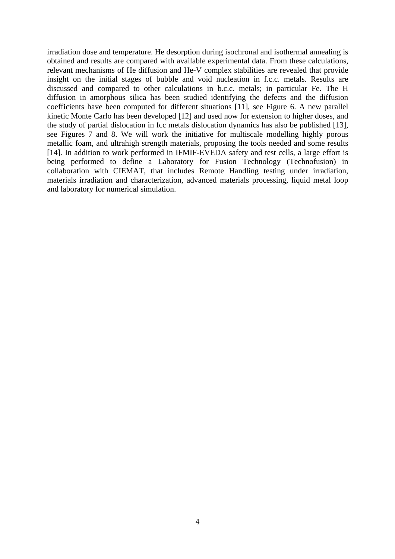irradiation dose and temperature. He desorption during isochronal and isothermal annealing is obtained and results are compared with available experimental data. From these calculations, relevant mechanisms of He diffusion and He-V complex stabilities are revealed that provide insight on the initial stages of bubble and void nucleation in f.c.c. metals. Results are discussed and compared to other calculations in b.c.c. metals; in particular Fe. The H diffusion in amorphous silica has been studied identifying the defects and the diffusion coefficients have been computed for different situations [11], see Figure 6. A new parallel kinetic Monte Carlo has been developed [12] and used now for extension to higher doses, and the study of partial dislocation in fcc metals dislocation dynamics has also be published [13], see Figures 7 and 8. We will work the initiative for multiscale modelling highly porous metallic foam, and ultrahigh strength materials, proposing the tools needed and some results [14]. In addition to work performed in IFMIF-EVEDA safety and test cells, a large effort is being performed to define a Laboratory for Fusion Technology (Technofusion) in collaboration with CIEMAT, that includes Remote Handling testing under irradiation, materials irradiation and characterization, advanced materials processing, liquid metal loop and laboratory for numerical simulation.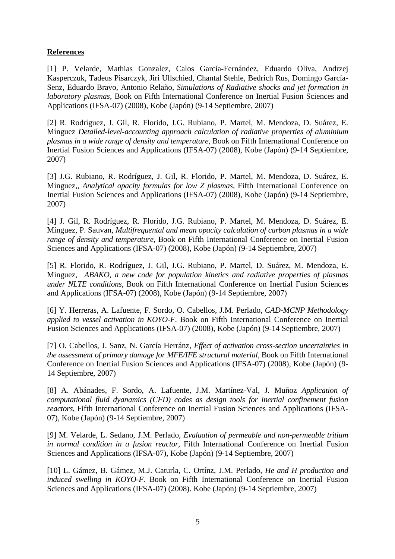## **References**

[1] P. Velarde, Mathias Gonzalez, Calos García-Fernández, Eduardo Oliva, Andrzej Kasperczuk, Tadeus Pisarczyk, Jiri Ullschied, Chantal Stehle, Bedrich Rus, Domingo García-Senz, Eduardo Bravo, Antonio Relaño, *Simulations of Radiative shocks and jet formation in laboratory plasmas*, Book on Fifth International Conference on Inertial Fusion Sciences and Applications (IFSA-07) (2008), Kobe (Japón) (9-14 Septiembre, 2007)

[2] R. Rodríguez, J. Gil, R. Florido, J.G. Rubiano, P. Martel, M. Mendoza, D. Suárez, E. Mínguez *Detailed-level-accounting approach calculation of radiative properties of aluminium plasmas in a wide range of density and temperature,* Book on Fifth International Conference on Inertial Fusion Sciences and Applications (IFSA-07) (2008), Kobe (Japón) (9-14 Septiembre, 2007)

[3] J.G. Rubiano, R. Rodríguez, J. Gil, R. Florido, P. Martel, M. Mendoza, D. Suárez, E. Mínguez,, *Analytical opacity formulas for low Z plasmas,* Fifth International Conference on Inertial Fusion Sciences and Applications (IFSA-07) (2008), Kobe (Japón) (9-14 Septiembre, 2007)

[4] J. Gil, R. Rodríguez, R. Florido, J.G. Rubiano, P. Martel, M. Mendoza, D. Suárez, E. Mínguez, P. Sauvan, *Multifrequental and mean opacity calculation of carbon plasmas in a wide range of density and temperature,* Book on Fifth International Conference on Inertial Fusion Sciences and Applications (IFSA-07) (2008), Kobe (Japón) (9-14 Septiembre, 2007)

[5] R. Florido, R. Rodríguez, J. Gil, J.G. Rubiano, P. Martel, D. Suárez, M. Mendoza, E. Mínguez, *ABAKO, a new code for population kinetics and radiative properties of plasmas under NLTE conditions,* Book on Fifth International Conference on Inertial Fusion Sciences and Applications (IFSA-07) (2008), Kobe (Japón) (9-14 Septiembre, 2007)

[6] Y. Herreras, A. Lafuente, F. Sordo, O. Cabellos, J.M. Perlado, *CAD-MCNP Methodology applied to vessel activation in KOYO-F*. Book on Fifth International Conference on Inertial Fusion Sciences and Applications (IFSA-07) (2008), Kobe (Japón) (9-14 Septiembre, 2007)

[7] O. Cabellos, J. Sanz, N. García Herránz, *Effect of activation cross-section uncertainties in the assessment of primary damage for MFE/IFE structural material,* Book on Fifth International Conference on Inertial Fusion Sciences and Applications (IFSA-07) (2008), Kobe (Japón) (9- 14 Septiembre, 2007)

[8] A. Abánades, F. Sordo, A. Lafuente, J.M. Martínez-Val, J. Muñoz *Application of computational fluid dyanamics (CFD) codes as design tools for inertial confinement fusion reactors,* Fifth International Conference on Inertial Fusion Sciences and Applications (IFSA-07), Kobe (Japón) (9-14 Septiembre, 2007)

[9] M. Velarde, L. Sedano, J.M. Perlado, *Evaluation of permeable and non-permeable tritium in normal condition in a fusion reactor,* Fifth International Conference on Inertial Fusion Sciences and Applications (IFSA-07), Kobe (Japón) (9-14 Septiembre, 2007)

[10] L. Gámez, B. Gámez, M.J. Caturla, C. Ortínz, J.M. Perlado, *He and H production and induced swelling in KOYO-F.* Book on Fifth International Conference on Inertial Fusion Sciences and Applications (IFSA-07) (2008). Kobe (Japón) (9-14 Septiembre, 2007)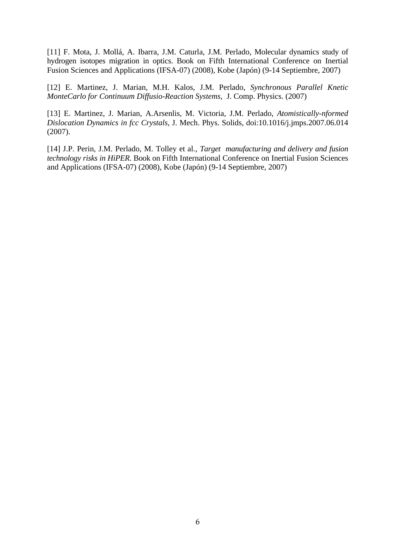[11] F. Mota, J. Mollá, A. Ibarra, J.M. Caturla, J.M. Perlado, Molecular dynamics study of hydrogen isotopes migration in optics. Book on Fifth International Conference on Inertial Fusion Sciences and Applications (IFSA-07) (2008), Kobe (Japón) (9-14 Septiembre, 2007)

[12] E. Martinez, J. Marian, M.H. Kalos, J.M. Perlado, *Synchronous Parallel Knetic MonteCarlo for Continuum Diffusio-Reaction Systems,* J. Comp. Physics. (2007)

[13] E. Martinez, J. Marian, A.Arsenlis, M. Victoria, J.M. Perlado, *Atomistically-nformed Dislocation Dynamics in fcc Crystals,* J. Mech. Phys. Solids, doi:10.1016/j.jmps.2007.06.014 (2007).

[14] J.P. Perin, J.M. Perlado, M. Tolley et al., *Target manufacturing and delivery and fusion technology risks in HiPER*. Book on Fifth International Conference on Inertial Fusion Sciences and Applications (IFSA-07) (2008), Kobe (Japón) (9-14 Septiembre, 2007)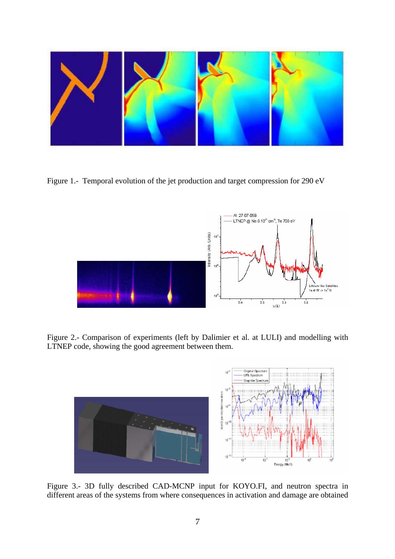

Figure 1.- Temporal evolution of the jet production and target compression for 290 eV



Figure 2.- Comparison of experiments (left by Dalimier et al. at LULI) and modelling with LTNEP code, showing the good agreement between them.



Figure 3.- 3D fully described CAD-MCNP input for KOYO.FI, and neutron spectra in different areas of the systems from where consequences in activation and damage are obtained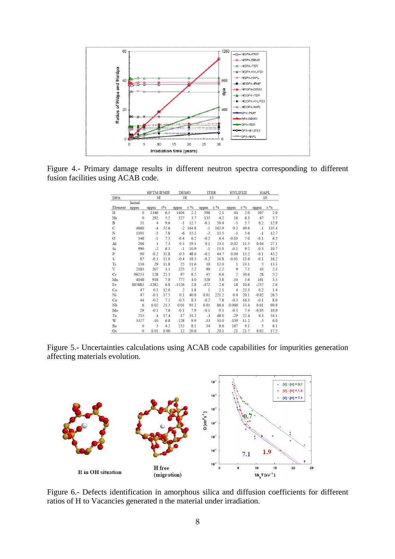

Figure 4.- Primary damage results in different neutron spectra corresponding to different fusion facilities using ACAB code.

|            |         | <b>HFTM/IFMIF</b> |       | DEMO    |       | <b>ITER</b>          |       | <b>HYLIFEII</b> |      | <b>HAPL</b> |       |
|------------|---------|-------------------|-------|---------|-------|----------------------|-------|-----------------|------|-------------|-------|
| <b>DPA</b> |         | 38                |       | 38      |       | 15                   |       | 3               |      | 10          |       |
|            | Initial |                   |       |         |       |                      |       |                 |      |             |       |
| Element    | appua   | appm              | $6\%$ | appm    | 8 %   | appm                 | 8.96  | appm            | 8 %  | appm        | 8 %   |
| Н          | 0       | 1346              | 6.5   | 1404    | 2.2   | 596                  | 2.1   | 44              | 2.0  | 307         | 2.0   |
| He         | 0       | 292               | 5.2   | 327     | 3.7   | 135                  | 4.2   | 16              | 63   | 67          | 3.7   |
| В          | 51      | 4                 | 9.6   | -1      | 12.7  | $-0.1$               | 39.4  | -3              | 5.7  | 0.2         | 12.9  |
| с          | 4860    | $-4$              | 52.6  | -2      | 164.8 | $-1$                 | 162.9 | 0.2             | 49.6 | $-1$        | 135.4 |
| N          | 1191    | -5                | 7.8   | -6      | 15.2  | $\cdot$ <sub>2</sub> | 15.5  | $-1$            | 5.6  | $-1$        | 12.7  |
| o          | 348     | $-1$              | 7.3   | $-0.4$  | 6.2   | $-0.2$               | 6.4   | $-0.03$         | 7.0  | $-0.1$      | 6.5   |
| Al         | 206     | $\mathbf{1}$      | 7.3   | 03      | 19.1  | 0.1                  | 23.1  | $-0.02$         | 11.5 | 0.04        | 27.1  |
| Si         | 990     | $-2$              | 6.3   | $-1$    | 10.9  | $-1$                 | 11.0  | $-0.1$          | 9.2  | $-0.3$      | 10.7  |
| P          | 90      | $-0.2$            | 31.8  | $-0.3$  | 48.6  | $-0.1$               | 44.7  | 0.04            | 13.2 | $-0.1$      | 43.2  |
| s          | 87      | $-0.3$            | 11.0  | $-0.4$  | 18.3  | $-0.2$               | 16.8  | $-0.01$         | 13.6 | $-0.1$      | 16.2  |
| Ti         | 116     | 29                | 11.8  | 25      | 11.6  | 10                   | 12.0  | 1               | 33.1 | -5          | 13.3  |
| V          | 2183    | 207               | 3.1   | 225     | 2.2   | 90                   | 2.2   | 9               | 7.5  | 43          | 2.3   |
| Сr         | 96233   | 128               | 22.3  | 97      | 8.2   | 45                   | 6.6   | $\overline{2}$  | 30.6 | 28          | 5.2   |
| Ma         | 4048    | 918               | 7.0   | 777     | 4.0   | 326                  | 3.8   | $-34$           | 5.6  | 161         | 3.3   |
| Fe         | 885883  | $-1282$           | 6.8   | $-1126$ | 2.8   | $-472$               | 2.6   | 18              | 10.6 | $-237$      | 2.6   |
| Co         | 47      | 0.1               | 12.0  | -2      | 1.8   | 1                    | 2.1   | $\overline{4}$  | 23.3 | 0.2         | 1.4   |
| Ni         | 47      | $-0.1$            | 17.5  | 0.1     | 40.8  | 0.01                 | 221.2 | 0.4             | 20.1 | $-0.02$     | 26.5  |
| Сu         | 44      | $-0.2$            | 7.2   | $-0.5$  | 8.3   | $-0.2$               | 7.8   | $-0.3$          | 16.3 | $-0.1$      | 8.0   |
| NЬ         | 6       | 0.02              | 25.3  | 0.01    | 95.2  | 0.01                 | 86.6  | 0.000           | 33.4 | 0.01        | 90.9  |
| Mo         | 29      | $-0.1$            | 7.6   | $-0.1$  | 7.9   | $-0.1$               | 9.1   | $-0.1$          | 7.4  | $-0.03$     | 10.0  |
| Ta         | 215     | 4                 | 17.4  | $-17$   | 31.2  | $-3$                 | 48.0  | $-29$           | 22.4 | 0.3         | 54.1  |
| W          | 3327    | $-10$             | 6.8   | $-128$  | 9.9   | $-33$                | 10.0  | $-159$          | 11.2 | - 5         | 6.0   |
| Re         | 0       | 5                 | 4.2   | 132     | 8.1   | 34                   | 8.6   | 167             | 9.1  | 5           | 6.1   |
| Os         | o       | 0.01              | 0.00  | 12      | 20.6  | 1                    | 20.1  | 21              | 21.7 | 0.02        | 17.5  |

Figure 5.- Uncertainties calculations using ACAB code capabilities for impurities generation affecting materials evolution.



Figure 6.- Defects identification in amorphous silica and diffusion coefficients for different ratios of H to Vacancies generated n the material under irradiation.